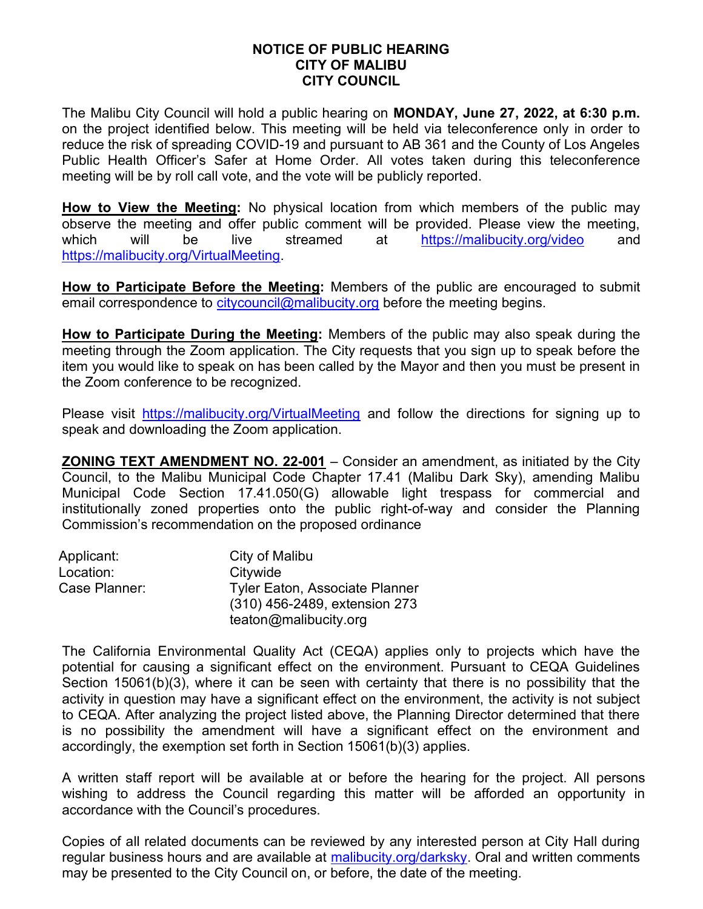## NOTICE OF PUBLIC HEARING CITY OF MALIBU CITY COUNCIL

The Malibu City Council will hold a public hearing on MONDAY, June 27, 2022, at 6:30 p.m. on the project identified below. This meeting will be held via teleconference only in order to reduce the risk of spreading COVID-19 and pursuant to AB 361 and the County of Los Angeles Public Health Officer's Safer at Home Order. All votes taken during this teleconference meeting will be by roll call vote, and the vote will be publicly reported.

How to View the Meeting: No physical location from which members of the public may observe the meeting and offer public comment will be provided. Please view the meeting, which will be live streamed at https://malibucity.org/video and https://malibucity.org/VirtualMeeting.

How to Participate Before the Meeting: Members of the public are encouraged to submit email correspondence to citycouncil@malibucity.org before the meeting begins.

How to Participate During the Meeting: Members of the public may also speak during the meeting through the Zoom application. The City requests that you sign up to speak before the item you would like to speak on has been called by the Mayor and then you must be present in the Zoom conference to be recognized.

Please visit https://malibucity.org/VirtualMeeting and follow the directions for signing up to speak and downloading the Zoom application.

ZONING TEXT AMENDMENT NO. 22-001 – Consider an amendment, as initiated by the City Council, to the Malibu Municipal Code Chapter 17.41 (Malibu Dark Sky), amending Malibu Municipal Code Section 17.41.050(G) allowable light trespass for commercial and institutionally zoned properties onto the public right-of-way and consider the Planning Commission's recommendation on the proposed ordinance

| Applicant:    | City of Malibu                        |
|---------------|---------------------------------------|
| Location:     | Citywide                              |
| Case Planner: | <b>Tyler Eaton, Associate Planner</b> |
|               | (310) 456-2489, extension 273         |
|               | teaton@malibucity.org                 |

The California Environmental Quality Act (CEQA) applies only to projects which have the potential for causing a significant effect on the environment. Pursuant to CEQA Guidelines Section 15061(b)(3), where it can be seen with certainty that there is no possibility that the activity in question may have a significant effect on the environment, the activity is not subject to CEQA. After analyzing the project listed above, the Planning Director determined that there is no possibility the amendment will have a significant effect on the environment and accordingly, the exemption set forth in Section 15061(b)(3) applies.

A written staff report will be available at or before the hearing for the project. All persons wishing to address the Council regarding this matter will be afforded an opportunity in accordance with the Council's procedures.

Copies of all related documents can be reviewed by any interested person at City Hall during regular business hours and are available at malibucity.org/darksky. Oral and written comments may be presented to the City Council on, or before, the date of the meeting.